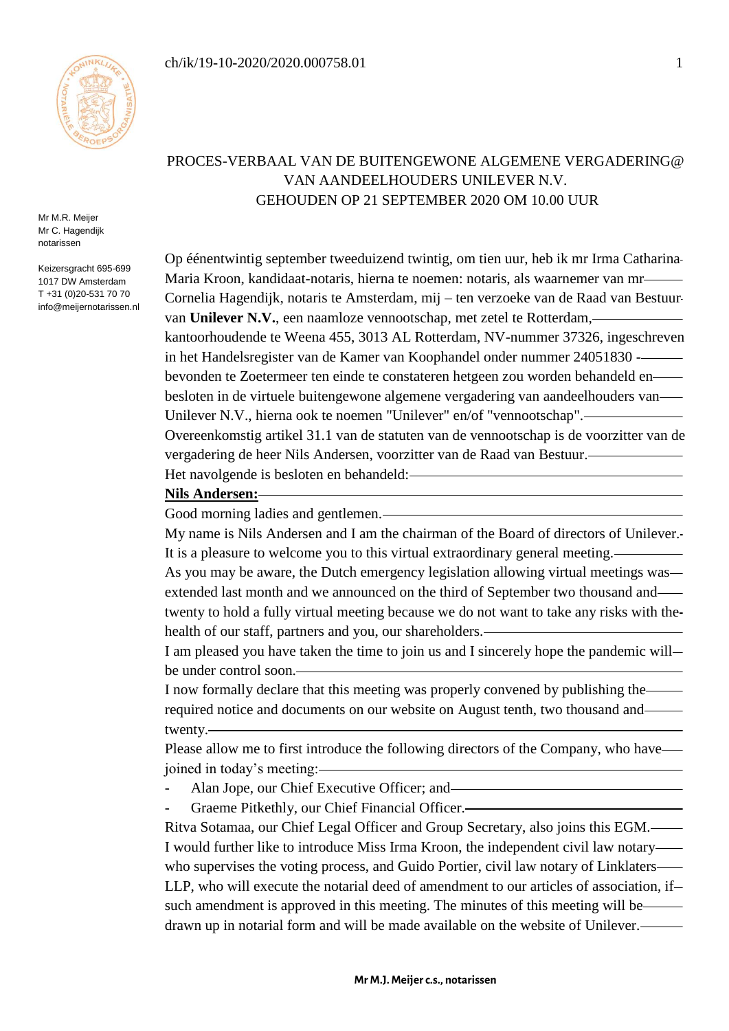

Mr M.R. Meijer Mr C. Hagendijk notarissen

Keizersgracht 695-699 1017 DW Amsterdam T +31 (0)20-531 70 70 info@meijernotarissen.nl

# PROCES-VERBAAL VAN DE BUITENGEWONE ALGEMENE VERGADERING@ VAN AANDEELHOUDERS UNILEVER N.V. GEHOUDEN OP 21 SEPTEMBER 2020 OM 10.00 UUR

Op éénentwintig september tweeduizend twintig, om tien uur, heb ik mr Irma Catharina Maria Kroon, kandidaat-notaris, hierna te noemen: notaris, als waarnemer van mr Cornelia Hagendijk, notaris te Amsterdam, mij – ten verzoeke van de Raad van Bestuur van **Unilever N.V.**, een naamloze vennootschap, met zetel te Rotterdam, kantoorhoudende te Weena 455, 3013 AL Rotterdam, NV-nummer 37326, ingeschreven in het Handelsregister van de Kamer van Koophandel onder nummer 24051830 bevonden te Zoetermeer ten einde te constateren hetgeen zou worden behandeld en besloten in de virtuele buitengewone algemene vergadering van aandeelhouders van Unilever N.V., hierna ook te noemen "Unilever" en/of "vennootschap". Overeenkomstig artikel 31.1 van de statuten van de vennootschap is de voorzitter van de vergadering de heer Nils Andersen, voorzitter van de Raad van Bestuur.

Het navolgende is besloten en behandeld:

# **Nils Andersen:**

Good morning ladies and gentlemen.

My name is Nils Andersen and I am the chairman of the Board of directors of Unilever. It is a pleasure to welcome you to this virtual extraordinary general meeting.

As you may be aware, the Dutch emergency legislation allowing virtual meetings was extended last month and we announced on the third of September two thousand and twenty to hold a fully virtual meeting because we do not want to take any risks with the health of our staff, partners and you, our shareholders.

I am pleased you have taken the time to join us and I sincerely hope the pandemic will be under control soon.

I now formally declare that this meeting was properly convened by publishing the required notice and documents on our website on August tenth, two thousand and twenty.

Please allow me to first introduce the following directors of the Company, who have joined in today's meeting:

- Alan Jope, our Chief Executive Officer; and-
- Graeme Pitkethly, our Chief Financial Officer.-

Ritva Sotamaa, our Chief Legal Officer and Group Secretary, also joins this EGM. I would further like to introduce Miss Irma Kroon, the independent civil law notary who supervises the voting process, and Guido Portier, civil law notary of Linklaters LLP, who will execute the notarial deed of amendment to our articles of association, if such amendment is approved in this meeting. The minutes of this meeting will be— drawn up in notarial form and will be made available on the website of Unilever.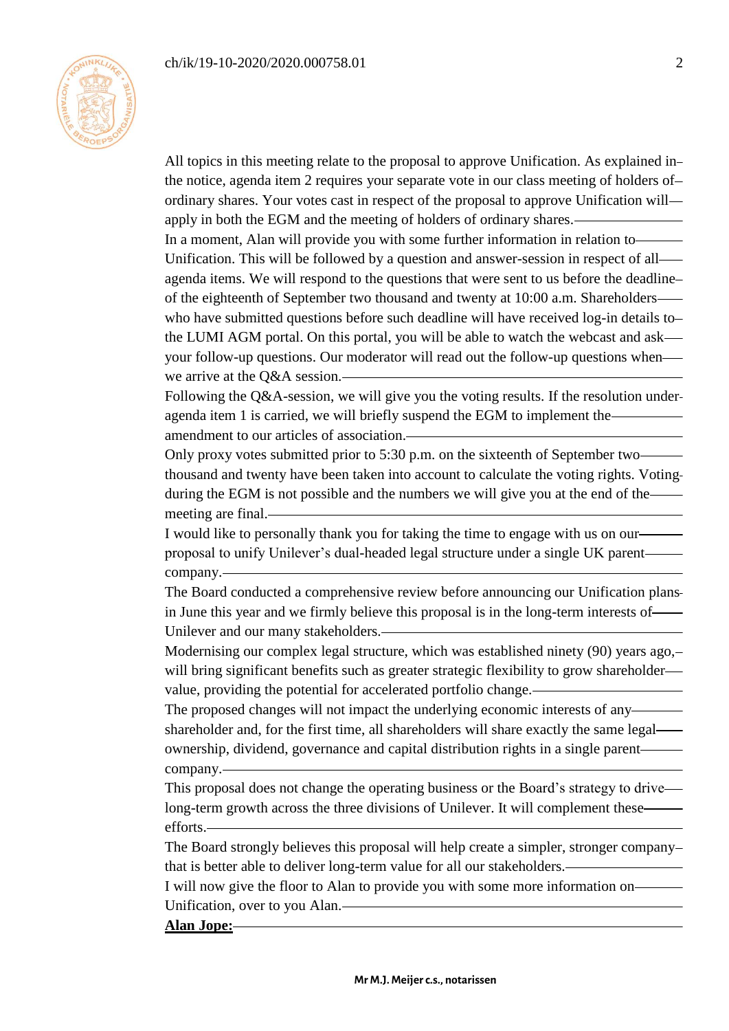

All topics in this meeting relate to the proposal to approve Unification. As explained in the notice, agenda item 2 requires your separate vote in our class meeting of holders of ordinary shares. Your votes cast in respect of the proposal to approve Unification will apply in both the EGM and the meeting of holders of ordinary shares. In a moment, Alan will provide you with some further information in relation to Unification. This will be followed by a question and answer-session in respect of all agenda items. We will respond to the questions that were sent to us before the deadline of the eighteenth of September two thousand and twenty at 10:00 a.m. Shareholders who have submitted questions before such deadline will have received log-in details to the LUMI AGM portal. On this portal, you will be able to watch the webcast and ask your follow-up questions. Our moderator will read out the follow-up questions when we arrive at the Q&A session.

Following the Q&A-session, we will give you the voting results. If the resolution under agenda item 1 is carried, we will briefly suspend the EGM to implement the amendment to our articles of association.

Only proxy votes submitted prior to 5:30 p.m. on the sixteenth of September two thousand and twenty have been taken into account to calculate the voting rights. Voting during the EGM is not possible and the numbers we will give you at the end of the meeting are final.

I would like to personally thank you for taking the time to engage with us on our proposal to unify Unilever's dual-headed legal structure under a single UK parent company.

The Board conducted a comprehensive review before announcing our Unification plans in June this year and we firmly believe this proposal is in the long-term interests of Unilever and our many stakeholders.

Modernising our complex legal structure, which was established ninety (90) years ago, will bring significant benefits such as greater strategic flexibility to grow shareholder value, providing the potential for accelerated portfolio change.

The proposed changes will not impact the underlying economic interests of any shareholder and, for the first time, all shareholders will share exactly the same legal ownership, dividend, governance and capital distribution rights in a single parent company.

This proposal does not change the operating business or the Board's strategy to drive long-term growth across the three divisions of Unilever. It will complement these efforts.

The Board strongly believes this proposal will help create a simpler, stronger company that is better able to deliver long-term value for all our stakeholders.

I will now give the floor to Alan to provide you with some more information on Unification, over to you Alan.

**Alan Jope:**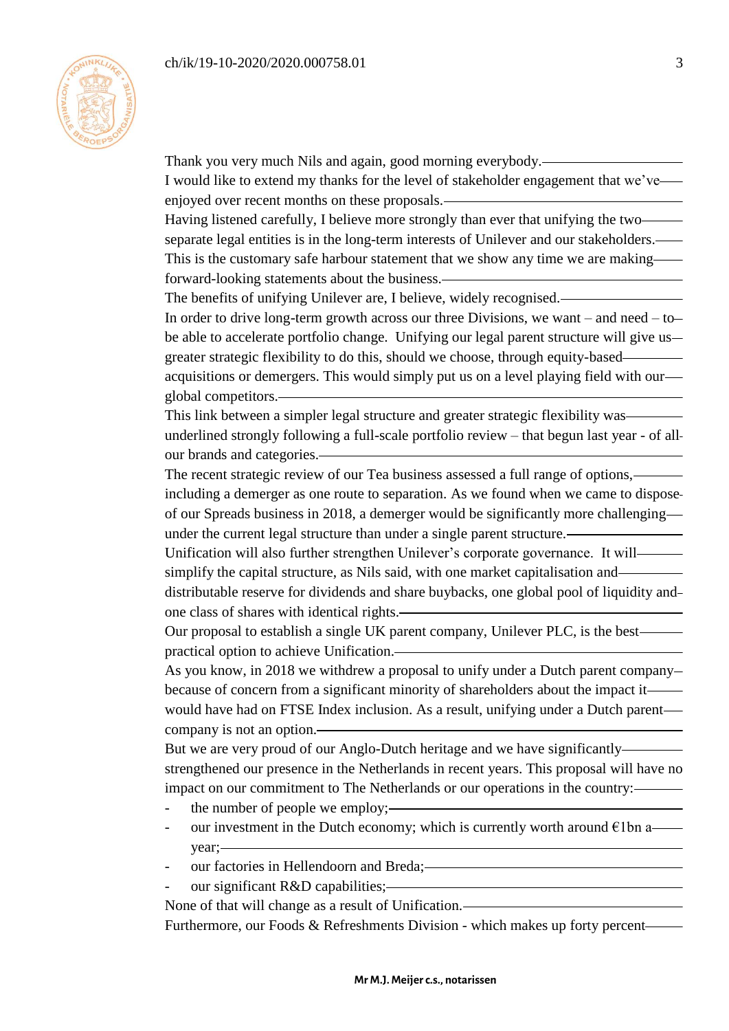

Thank you very much Nils and again, good morning everybody. I would like to extend my thanks for the level of stakeholder engagement that we've enjoyed over recent months on these proposals. Having listened carefully, I believe more strongly than ever that unifying the two separate legal entities is in the long-term interests of Unilever and our stakeholders. This is the customary safe harbour statement that we show any time we are making forward-looking statements about the business. The benefits of unifying Unilever are, I believe, widely recognised. In order to drive long-term growth across our three Divisions, we want – and need – to be able to accelerate portfolio change. Unifying our legal parent structure will give us greater strategic flexibility to do this, should we choose, through equity-based acquisitions or demergers. This would simply put us on a level playing field with our global competitors. This link between a simpler legal structure and greater strategic flexibility was underlined strongly following a full-scale portfolio review – that begun last year - of all our brands and categories. The recent strategic review of our Tea business assessed a full range of options, including a demerger as one route to separation. As we found when we came to dispose of our Spreads business in 2018, a demerger would be significantly more challenging under the current legal structure than under a single parent structure. Unification will also further strengthen Unilever's corporate governance. It will simplify the capital structure, as Nils said, with one market capitalisation and distributable reserve for dividends and share buybacks, one global pool of liquidity and one class of shares with identical rights. Our proposal to establish a single UK parent company, Unilever PLC, is the best practical option to achieve Unification. As you know, in 2018 we withdrew a proposal to unify under a Dutch parent company because of concern from a significant minority of shareholders about the impact it would have had on FTSE Index inclusion. As a result, unifying under a Dutch parent company is not an option. But we are very proud of our Anglo-Dutch heritage and we have significantly strengthened our presence in the Netherlands in recent years. This proposal will have no impact on our commitment to The Netherlands or our operations in the country: - the number of people we employ;our investment in the Dutch economy; which is currently worth around  $\epsilon$ 1bn a year; our factories in Hellendoorn and Breda;our significant R&D capabilities;-None of that will change as a result of Unification. Furthermore, our Foods & Refreshments Division - which makes up forty percent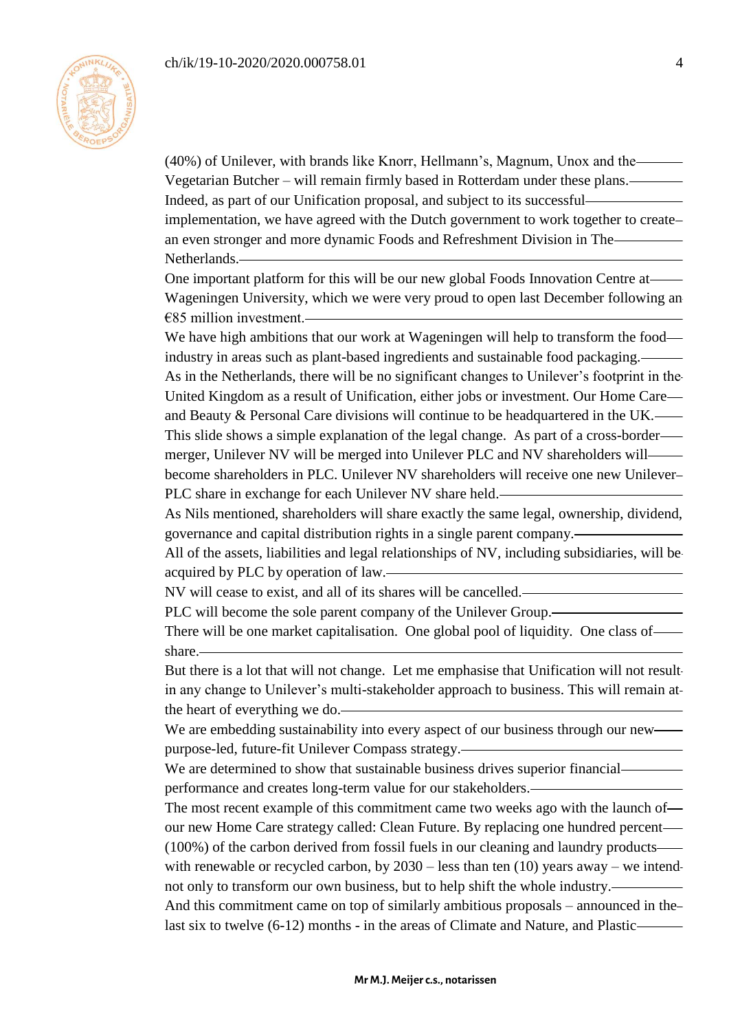

(40%) of Unilever, with brands like Knorr, Hellmann's, Magnum, Unox and the Vegetarian Butcher – will remain firmly based in Rotterdam under these plans. Indeed, as part of our Unification proposal, and subject to its successful implementation, we have agreed with the Dutch government to work together to create an even stronger and more dynamic Foods and Refreshment Division in The Netherlands.

One important platform for this will be our new global Foods Innovation Centre at Wageningen University, which we were very proud to open last December following an  $€85$  million investment.

We have high ambitions that our work at Wageningen will help to transform the food industry in areas such as plant-based ingredients and sustainable food packaging.

As in the Netherlands, there will be no significant changes to Unilever's footprint in the United Kingdom as a result of Unification, either jobs or investment. Our Home Care and Beauty & Personal Care divisions will continue to be headquartered in the UK. This slide shows a simple explanation of the legal change. As part of a cross-border merger, Unilever NV will be merged into Unilever PLC and NV shareholders will become shareholders in PLC. Unilever NV shareholders will receive one new Unilever PLC share in exchange for each Unilever NV share held.

As Nils mentioned, shareholders will share exactly the same legal, ownership, dividend, governance and capital distribution rights in a single parent company.

All of the assets, liabilities and legal relationships of NV, including subsidiaries, will be acquired by PLC by operation of law.

NV will cease to exist, and all of its shares will be cancelled.

PLC will become the sole parent company of the Unilever Group.

There will be one market capitalisation. One global pool of liquidity. One class of share.

But there is a lot that will not change. Let me emphasise that Unification will not result in any change to Unilever's multi-stakeholder approach to business. This will remain at the heart of everything we do.

We are embedding sustainability into every aspect of our business through our new purpose-led, future-fit Unilever Compass strategy.

We are determined to show that sustainable business drives superior financial performance and creates long-term value for our stakeholders.

The most recent example of this commitment came two weeks ago with the launch of our new Home Care strategy called: Clean Future. By replacing one hundred percent

(100%) of the carbon derived from fossil fuels in our cleaning and laundry products with renewable or recycled carbon, by  $2030$  – less than ten (10) years away – we intendnot only to transform our own business, but to help shift the whole industry.

And this commitment came on top of similarly ambitious proposals – announced in the last six to twelve (6-12) months - in the areas of Climate and Nature, and Plastic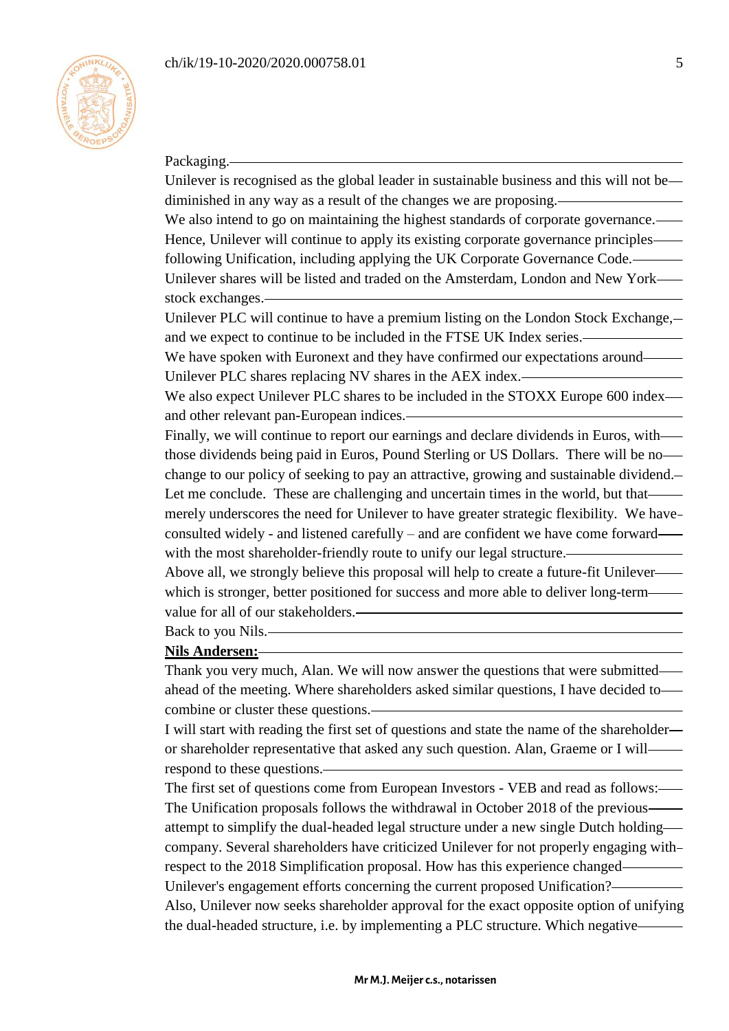

### Packaging.

Unilever is recognised as the global leader in sustainable business and this will not be diminished in any way as a result of the changes we are proposing. We also intend to go on maintaining the highest standards of corporate governance.—

Hence, Unilever will continue to apply its existing corporate governance principles following Unification, including applying the UK Corporate Governance Code. Unilever shares will be listed and traded on the Amsterdam, London and New York stock exchanges.

Unilever PLC will continue to have a premium listing on the London Stock Exchange. and we expect to continue to be included in the FTSE UK Index series.

We have spoken with Euronext and they have confirmed our expectations around Unilever PLC shares replacing NV shares in the AEX index.

We also expect Unilever PLC shares to be included in the STOXX Europe 600 index and other relevant pan-European indices.

Finally, we will continue to report our earnings and declare dividends in Euros, with those dividends being paid in Euros, Pound Sterling or US Dollars. There will be no change to our policy of seeking to pay an attractive, growing and sustainable dividend. Let me conclude. These are challenging and uncertain times in the world, but that merely underscores the need for Unilever to have greater strategic flexibility. We have consulted widely - and listened carefully – and are confident we have come forward with the most shareholder-friendly route to unify our legal structure.

Above all, we strongly believe this proposal will help to create a future-fit Unilever which is stronger, better positioned for success and more able to deliver long-term value for all of our stakeholders.

Back to you Nils.

### **Nils Andersen:**

Thank you very much, Alan. We will now answer the questions that were submitted ahead of the meeting. Where shareholders asked similar questions, I have decided to combine or cluster these questions.

I will start with reading the first set of questions and state the name of the shareholder or shareholder representative that asked any such question. Alan, Graeme or I will respond to these questions.

The first set of questions come from European Investors - VEB and read as follows: The Unification proposals follows the withdrawal in October 2018 of the previous attempt to simplify the dual-headed legal structure under a new single Dutch holding company. Several shareholders have criticized Unilever for not properly engaging with respect to the 2018 Simplification proposal. How has this experience changed Unilever's engagement efforts concerning the current proposed Unification? Also, Unilever now seeks shareholder approval for the exact opposite option of unifying the dual-headed structure, i.e. by implementing a PLC structure. Which negative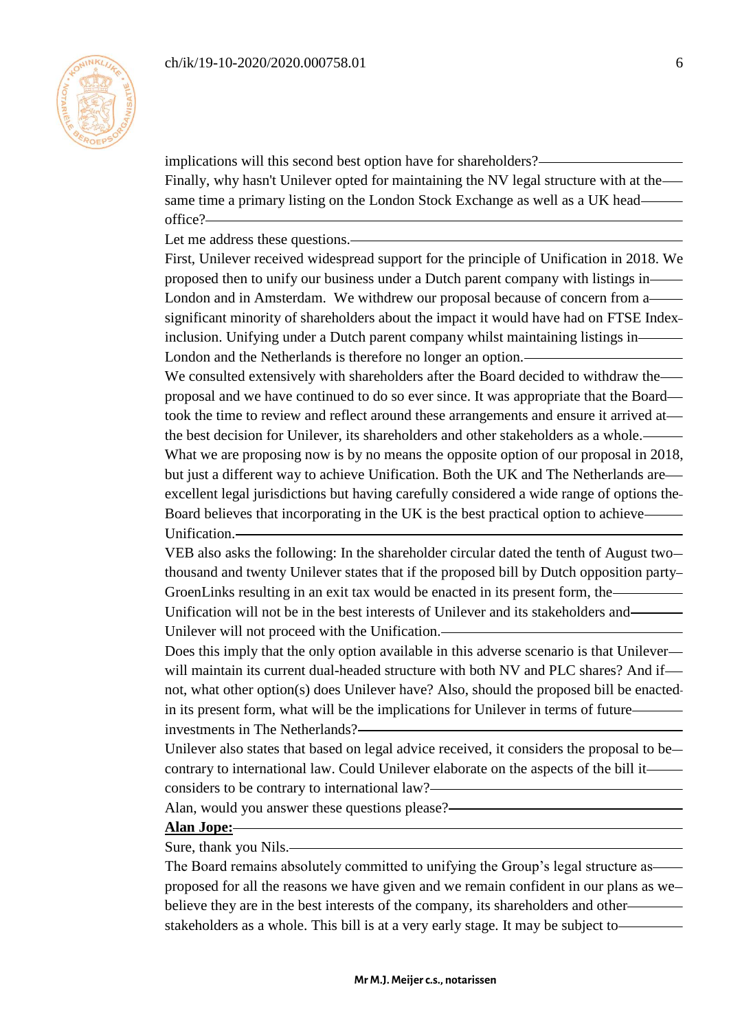

implications will this second best option have for shareholders? Finally, why hasn't Unilever opted for maintaining the NV legal structure with at the same time a primary listing on the London Stock Exchange as well as a UK head office?

Let me address these questions.

First, Unilever received widespread support for the principle of Unification in 2018. We proposed then to unify our business under a Dutch parent company with listings in London and in Amsterdam. We withdrew our proposal because of concern from a significant minority of shareholders about the impact it would have had on FTSE Index inclusion. Unifying under a Dutch parent company whilst maintaining listings in London and the Netherlands is therefore no longer an option.

We consulted extensively with shareholders after the Board decided to withdraw the proposal and we have continued to do so ever since. It was appropriate that the Board took the time to review and reflect around these arrangements and ensure it arrived at the best decision for Unilever, its shareholders and other stakeholders as a whole. What we are proposing now is by no means the opposite option of our proposal in 2018, but just a different way to achieve Unification. Both the UK and The Netherlands are excellent legal jurisdictions but having carefully considered a wide range of options the Board believes that incorporating in the UK is the best practical option to achieve Unification.

VEB also asks the following: In the shareholder circular dated the tenth of August two thousand and twenty Unilever states that if the proposed bill by Dutch opposition party GroenLinks resulting in an exit tax would be enacted in its present form, the

Unification will not be in the best interests of Unilever and its stakeholders and Unilever will not proceed with the Unification.

Does this imply that the only option available in this adverse scenario is that Unileverwill maintain its current dual-headed structure with both NV and PLC shares? And if not, what other option(s) does Unilever have? Also, should the proposed bill be enacted in its present form, what will be the implications for Unilever in terms of future investments in The Netherlands?

Unilever also states that based on legal advice received, it considers the proposal to be contrary to international law. Could Unilever elaborate on the aspects of the bill it considers to be contrary to international law?

Alan, would you answer these questions please?

### **Alan Jope:**

Sure, thank you Nils.

The Board remains absolutely committed to unifying the Group's legal structure as proposed for all the reasons we have given and we remain confident in our plans as we believe they are in the best interests of the company, its shareholders and other stakeholders as a whole. This bill is at a very early stage. It may be subject to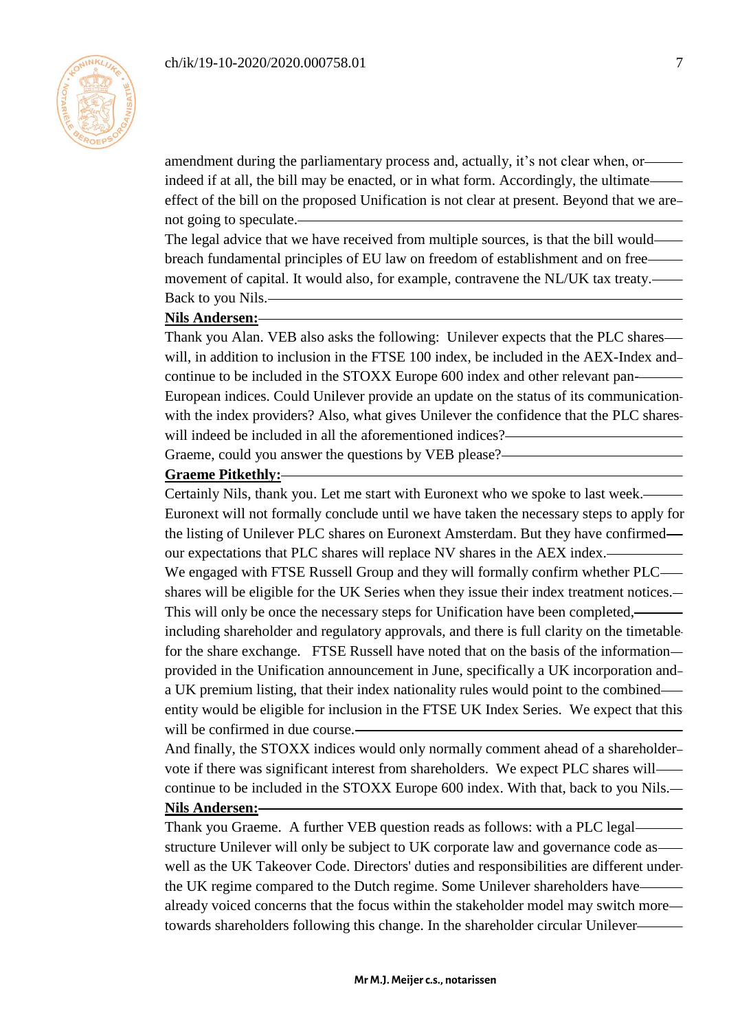

amendment during the parliamentary process and, actually, it's not clear when, or indeed if at all, the bill may be enacted, or in what form. Accordingly, the ultimate effect of the bill on the proposed Unification is not clear at present. Beyond that we are not going to speculate.

The legal advice that we have received from multiple sources, is that the bill would breach fundamental principles of EU law on freedom of establishment and on free movement of capital. It would also, for example, contravene the NL/UK tax treaty. Back to you Nils.

### **Nils Andersen:**

Thank you Alan. VEB also asks the following: Unilever expects that the PLC shares will, in addition to inclusion in the FTSE 100 index, be included in the AEX-Index andcontinue to be included in the STOXX Europe 600 index and other relevant pan-European indices. Could Unilever provide an update on the status of its communication with the index providers? Also, what gives Unilever the confidence that the PLC shareswill indeed be included in all the aforementioned indices?-

Graeme, could you answer the questions by VEB please?

### **Graeme Pitkethly:**

Certainly Nils, thank you. Let me start with Euronext who we spoke to last week. Euronext will not formally conclude until we have taken the necessary steps to apply for the listing of Unilever PLC shares on Euronext Amsterdam. But they have confirmed our expectations that PLC shares will replace NV shares in the AEX index. We engaged with FTSE Russell Group and they will formally confirm whether PLC shares will be eligible for the UK Series when they issue their index treatment notices. This will only be once the necessary steps for Unification have been completed, including shareholder and regulatory approvals, and there is full clarity on the timetable for the share exchange. FTSE Russell have noted that on the basis of the information provided in the Unification announcement in June, specifically a UK incorporation and a UK premium listing, that their index nationality rules would point to the combined entity would be eligible for inclusion in the FTSE UK Index Series. We expect that this will be confirmed in due course.

And finally, the STOXX indices would only normally comment ahead of a shareholder vote if there was significant interest from shareholders. We expect PLC shares will continue to be included in the STOXX Europe 600 index. With that, back to you Nils.

#### **Nils Andersen:**

Thank you Graeme. A further VEB question reads as follows: with a PLC legal structure Unilever will only be subject to UK corporate law and governance code as well as the UK Takeover Code. Directors' duties and responsibilities are different under the UK regime compared to the Dutch regime. Some Unilever shareholders have already voiced concerns that the focus within the stakeholder model may switch more towards shareholders following this change. In the shareholder circular Unilever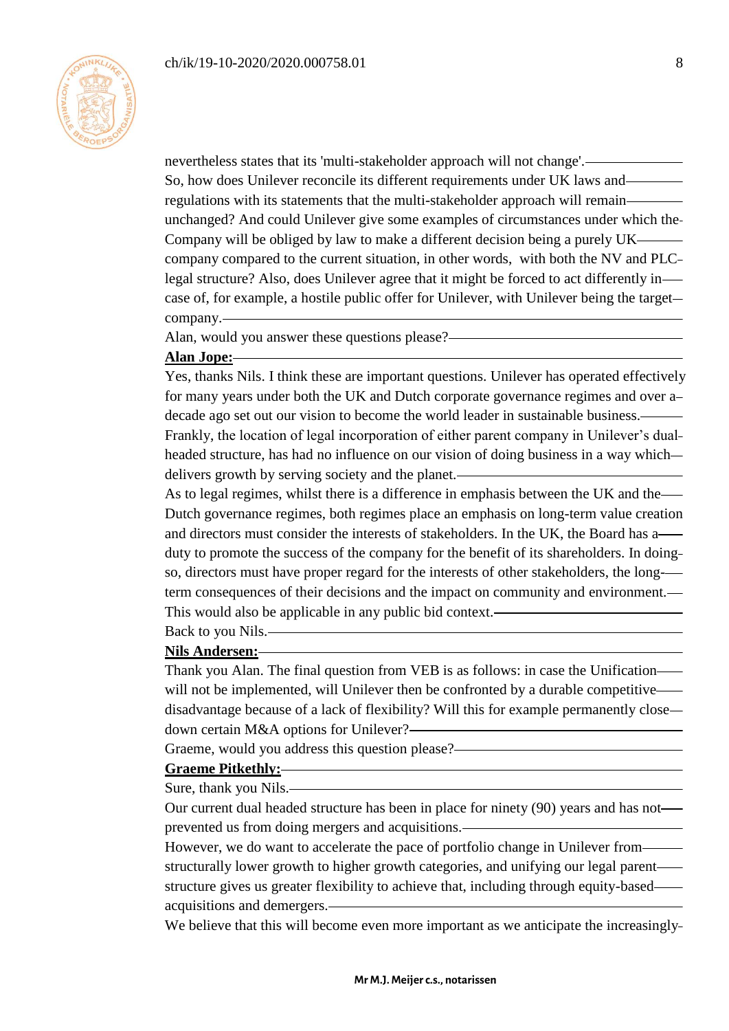

nevertheless states that its 'multi-stakeholder approach will not change'. So, how does Unilever reconcile its different requirements under UK laws and regulations with its statements that the multi-stakeholder approach will remain unchanged? And could Unilever give some examples of circumstances under which the Company will be obliged by law to make a different decision being a purely UK company compared to the current situation, in other words, with both the NV and PLC legal structure? Also, does Unilever agree that it might be forced to act differently in case of, for example, a hostile public offer for Unilever, with Unilever being the target company.

Alan, would you answer these questions please?

### **Alan Jope:**

Yes, thanks Nils. I think these are important questions. Unilever has operated effectively for many years under both the UK and Dutch corporate governance regimes and over a decade ago set out our vision to become the world leader in sustainable business. Frankly, the location of legal incorporation of either parent company in Unilever's dual headed structure, has had no influence on our vision of doing business in a way which delivers growth by serving society and the planet.

As to legal regimes, whilst there is a difference in emphasis between the UK and the Dutch governance regimes, both regimes place an emphasis on long-term value creation and directors must consider the interests of stakeholders. In the UK, the Board has a duty to promote the success of the company for the benefit of its shareholders. In doing so, directors must have proper regard for the interests of other stakeholders, the longterm consequences of their decisions and the impact on community and environment. This would also be applicable in any public bid context.

Back to you Nils.

### **Nils Andersen:**

Thank you Alan. The final question from VEB is as follows: in case the Unification will not be implemented, will Unilever then be confronted by a durable competitive disadvantage because of a lack of flexibility? Will this for example permanently close down certain M&A options for Unilever?

Graeme, would you address this question please?

#### **Graeme Pitkethly:**

Sure, thank you Nils.

Our current dual headed structure has been in place for ninety (90) years and has not prevented us from doing mergers and acquisitions.

However, we do want to accelerate the pace of portfolio change in Unilever from structurally lower growth to higher growth categories, and unifying our legal parent structure gives us greater flexibility to achieve that, including through equity-based acquisitions and demergers.

We believe that this will become even more important as we anticipate the increasingly-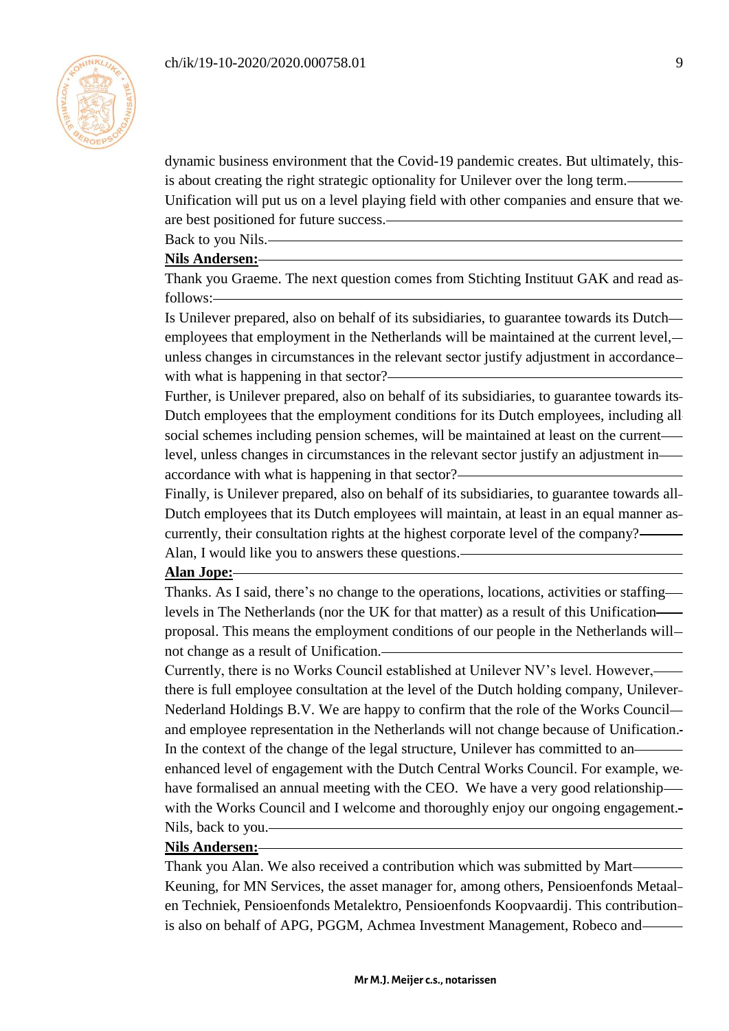

dynamic business environment that the Covid-19 pandemic creates. But ultimately, this is about creating the right strategic optionality for Unilever over the long term.

Unification will put us on a level playing field with other companies and ensure that we are best positioned for future success.

Back to you Nils.

### **Nils Andersen:**

Thank you Graeme. The next question comes from Stichting Instituut GAK and read as follows:

Is Unilever prepared, also on behalf of its subsidiaries, to guarantee towards its Dutch employees that employment in the Netherlands will be maintained at the current level, unless changes in circumstances in the relevant sector justify adjustment in accordance with what is happening in that sector?-

Further, is Unilever prepared, also on behalf of its subsidiaries, to guarantee towards its Dutch employees that the employment conditions for its Dutch employees, including all social schemes including pension schemes, will be maintained at least on the current level, unless changes in circumstances in the relevant sector justify an adjustment in accordance with what is happening in that sector?

Finally, is Unilever prepared, also on behalf of its subsidiaries, to guarantee towards all Dutch employees that its Dutch employees will maintain, at least in an equal manner as currently, their consultation rights at the highest corporate level of the company? Alan, I would like you to answers these questions.

#### **Alan Jope:**

Thanks. As I said, there's no change to the operations, locations, activities or staffing levels in The Netherlands (nor the UK for that matter) as a result of this Unification proposal. This means the employment conditions of our people in the Netherlands will not change as a result of Unification.

Currently, there is no Works Council established at Unilever NV's level. However, there is full employee consultation at the level of the Dutch holding company, Unilever Nederland Holdings B.V. We are happy to confirm that the role of the Works Council and employee representation in the Netherlands will not change because of Unification. In the context of the change of the legal structure, Unilever has committed to an enhanced level of engagement with the Dutch Central Works Council. For example, we have formalised an annual meeting with the CEO. We have a very good relationship with the Works Council and I welcome and thoroughly enjoy our ongoing engagement. Nils, back to you.

#### **Nils Andersen:**

Thank you Alan. We also received a contribution which was submitted by Mart Keuning, for MN Services, the asset manager for, among others, Pensioenfonds Metaal en Techniek, Pensioenfonds Metalektro, Pensioenfonds Koopvaardij. This contribution is also on behalf of APG, PGGM, Achmea Investment Management, Robeco and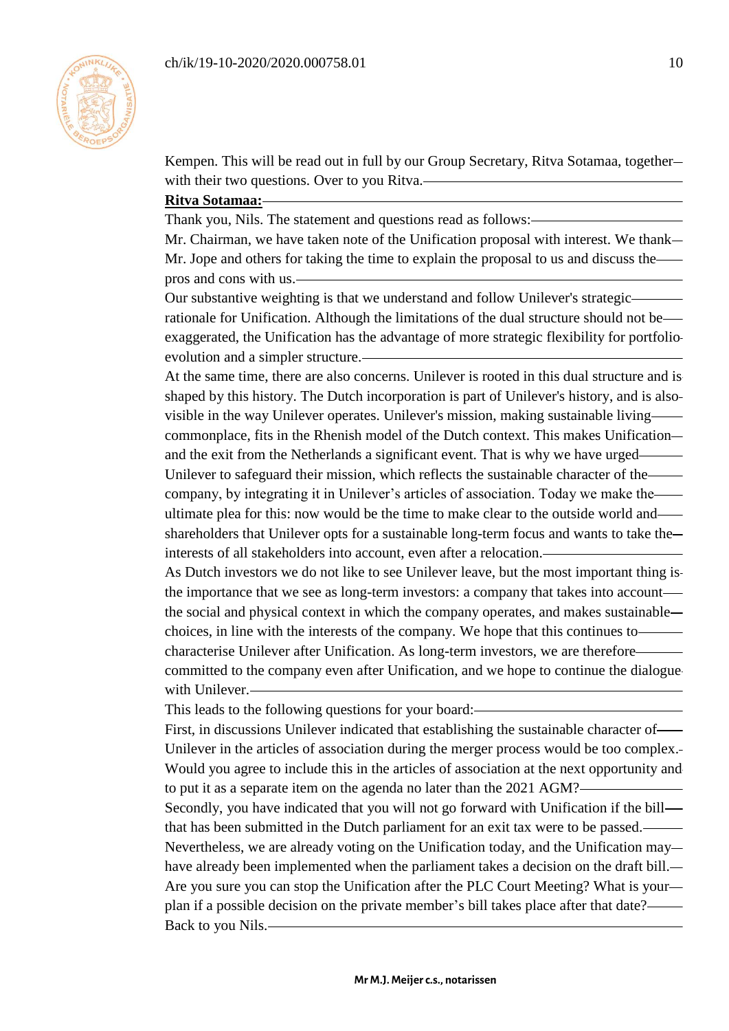

Kempen. This will be read out in full by our Group Secretary, Ritva Sotamaa, together with their two questions. Over to you Ritva.

# **Ritva Sotamaa:**

Thank you, Nils. The statement and questions read as follows:

Mr. Chairman, we have taken note of the Unification proposal with interest. We thank Mr. Jope and others for taking the time to explain the proposal to us and discuss the pros and cons with us.

Our substantive weighting is that we understand and follow Unilever's strategic rationale for Unification. Although the limitations of the dual structure should not be exaggerated, the Unification has the advantage of more strategic flexibility for portfolio evolution and a simpler structure.

At the same time, there are also concerns. Unilever is rooted in this dual structure and is shaped by this history. The Dutch incorporation is part of Unilever's history, and is also visible in the way Unilever operates. Unilever's mission, making sustainable living commonplace, fits in the Rhenish model of the Dutch context. This makes Unification and the exit from the Netherlands a significant event. That is why we have urged Unilever to safeguard their mission, which reflects the sustainable character of the company, by integrating it in Unilever's articles of association. Today we make the ultimate plea for this: now would be the time to make clear to the outside world and shareholders that Unilever opts for a sustainable long-term focus and wants to take the interests of all stakeholders into account, even after a relocation.

As Dutch investors we do not like to see Unilever leave, but the most important thing is the importance that we see as long-term investors: a company that takes into account the social and physical context in which the company operates, and makes sustainable choices, in line with the interests of the company. We hope that this continues to characterise Unilever after Unification. As long-term investors, we are therefore committed to the company even after Unification, and we hope to continue the dialogue with Unilever.

This leads to the following questions for your board:

First, in discussions Unilever indicated that establishing the sustainable character of Unilever in the articles of association during the merger process would be too complex. Would you agree to include this in the articles of association at the next opportunity and to put it as a separate item on the agenda no later than the 2021 AGM? Secondly, you have indicated that you will not go forward with Unification if the bill that has been submitted in the Dutch parliament for an exit tax were to be passed. Nevertheless, we are already voting on the Unification today, and the Unification may have already been implemented when the parliament takes a decision on the draft bill. Are you sure you can stop the Unification after the PLC Court Meeting? What is your plan if a possible decision on the private member's bill takes place after that date? Back to you Nils.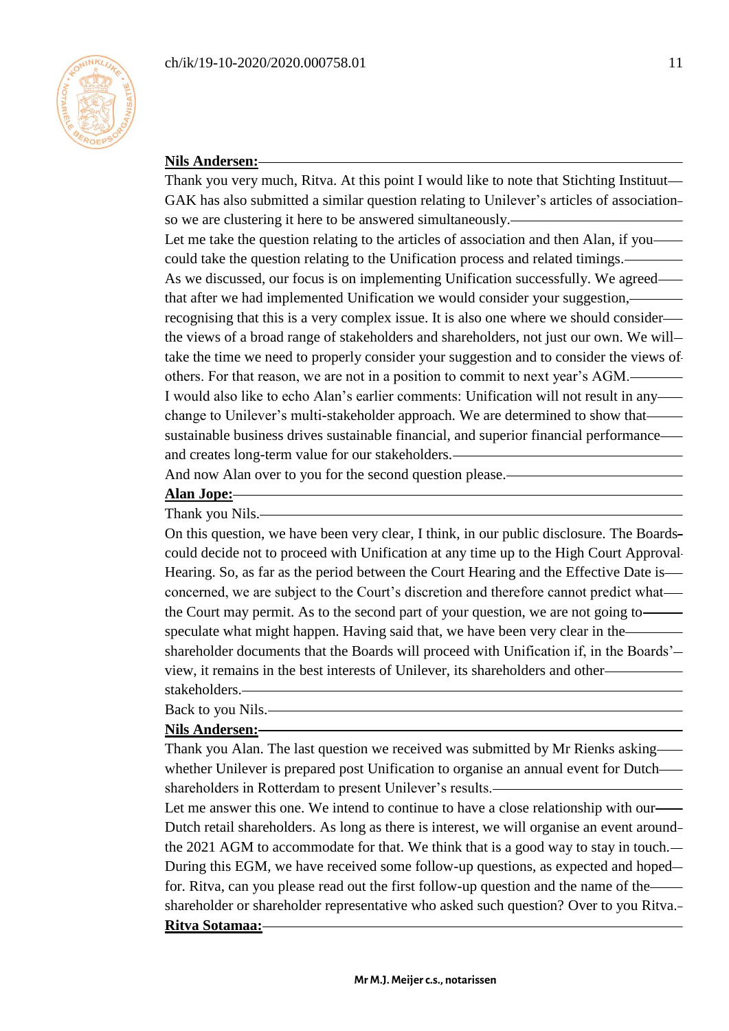

### **Nils Andersen:**

Thank you very much, Ritva. At this point I would like to note that Stichting Instituut GAK has also submitted a similar question relating to Unilever's articles of association so we are clustering it here to be answered simultaneously. Let me take the question relating to the articles of association and then Alan, if you could take the question relating to the Unification process and related timings. As we discussed, our focus is on implementing Unification successfully. We agreed that after we had implemented Unification we would consider your suggestion, recognising that this is a very complex issue. It is also one where we should consider the views of a broad range of stakeholders and shareholders, not just our own. We will take the time we need to properly consider your suggestion and to consider the views of others. For that reason, we are not in a position to commit to next year's AGM. I would also like to echo Alan's earlier comments: Unification will not result in any change to Unilever's multi-stakeholder approach. We are determined to show that sustainable business drives sustainable financial, and superior financial performance and creates long-term value for our stakeholders.

And now Alan over to you for the second question please.

### **Alan Jope:**

#### Thank you Nils.

On this question, we have been very clear, I think, in our public disclosure. The Boards could decide not to proceed with Unification at any time up to the High Court Approval Hearing. So, as far as the period between the Court Hearing and the Effective Date is concerned, we are subject to the Court's discretion and therefore cannot predict what the Court may permit. As to the second part of your question, we are not going to speculate what might happen. Having said that, we have been very clear in the shareholder documents that the Boards will proceed with Unification if, in the Boards' view, it remains in the best interests of Unilever, its shareholders and other stakeholders.

### Back to you Nils.

#### **Nils Andersen:**

Thank you Alan. The last question we received was submitted by Mr Rienks asking whether Unilever is prepared post Unification to organise an annual event for Dutch shareholders in Rotterdam to present Unilever's results.

Let me answer this one. We intend to continue to have a close relationship with our Dutch retail shareholders. As long as there is interest, we will organise an event around the 2021 AGM to accommodate for that. We think that is a good way to stay in touch. During this EGM, we have received some follow-up questions, as expected and hoped for. Ritva, can you please read out the first follow-up question and the name of the shareholder or shareholder representative who asked such question? Over to you Ritva. **Ritva Sotamaa:**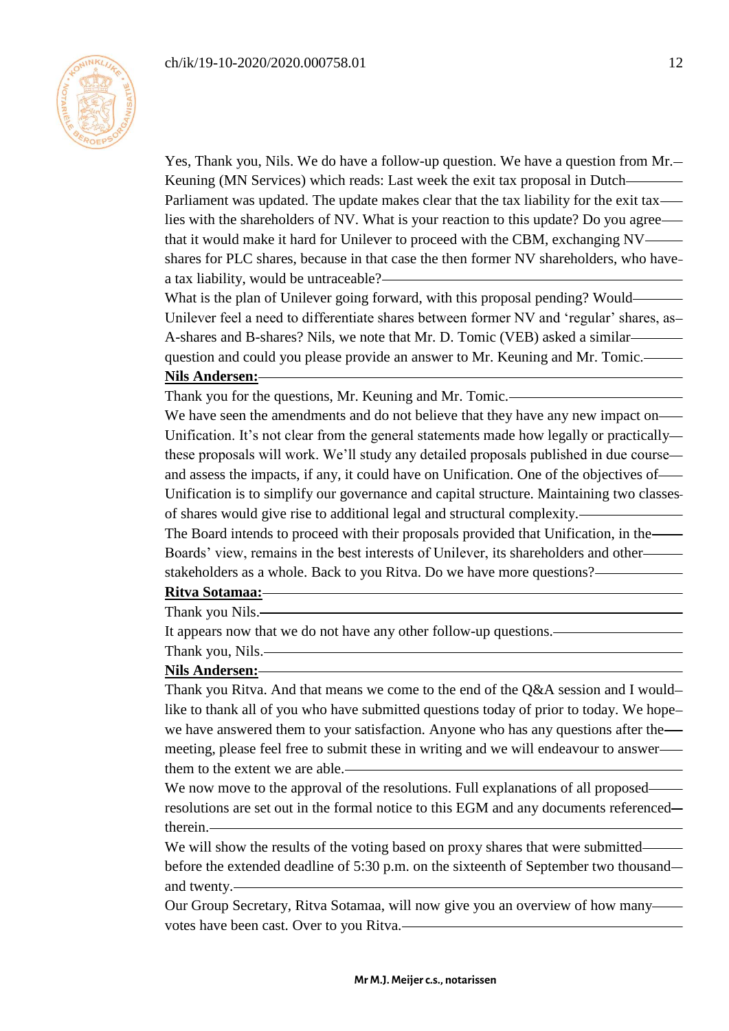

Yes, Thank you, Nils. We do have a follow-up question. We have a question from Mr. Keuning (MN Services) which reads: Last week the exit tax proposal in Dutch Parliament was updated. The update makes clear that the tax liability for the exit tax lies with the shareholders of NV. What is your reaction to this update? Do you agree that it would make it hard for Unilever to proceed with the CBM, exchanging NV shares for PLC shares, because in that case the then former NV shareholders, who have a tax liability, would be untraceable?

What is the plan of Unilever going forward, with this proposal pending? Would— Unilever feel a need to differentiate shares between former NV and 'regular' shares, as A-shares and B-shares? Nils, we note that Mr. D. Tomic (VEB) asked a similar question and could you please provide an answer to Mr. Keuning and Mr. Tomic.

### **Nils Andersen:**

Thank you for the questions, Mr. Keuning and Mr. Tomic.

We have seen the amendments and do not believe that they have any new impact on— Unification. It's not clear from the general statements made how legally or practically these proposals will work. We'll study any detailed proposals published in due course and assess the impacts, if any, it could have on Unification. One of the objectives of Unification is to simplify our governance and capital structure. Maintaining two classes of shares would give rise to additional legal and structural complexity.

The Board intends to proceed with their proposals provided that Unification, in the Boards' view, remains in the best interests of Unilever, its shareholders and other stakeholders as a whole. Back to you Ritva. Do we have more questions?

### **Ritva Sotamaa:**

Thank you Nils.

It appears now that we do not have any other follow-up questions.

Thank you, Nils.

### **Nils Andersen:**

Thank you Ritva. And that means we come to the end of the Q&A session and I would like to thank all of you who have submitted questions today of prior to today. We hopewe have answered them to your satisfaction. Anyone who has any questions after the meeting, please feel free to submit these in writing and we will endeavour to answer them to the extent we are able.

We now move to the approval of the resolutions. Full explanations of all proposed resolutions are set out in the formal notice to this EGM and any documents referenced therein.

We will show the results of the voting based on proxy shares that were submitted before the extended deadline of 5:30 p.m. on the sixteenth of September two thousand and twenty.

Our Group Secretary, Ritva Sotamaa, will now give you an overview of how many votes have been cast. Over to you Ritva.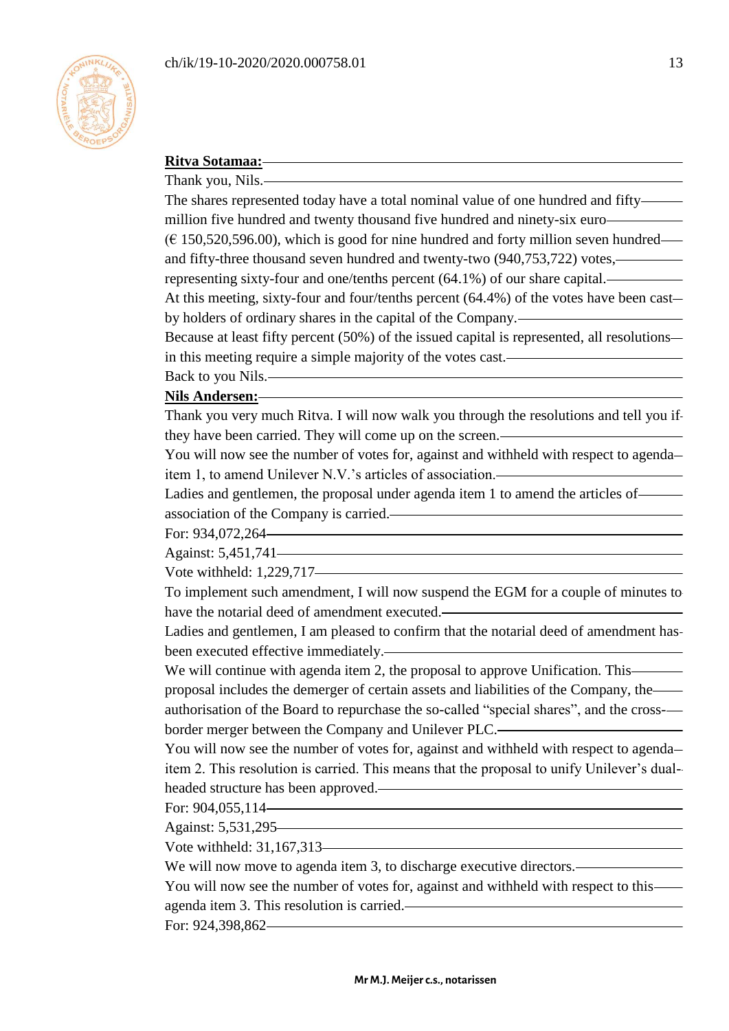

# **Ritva Sotamaa:**

Thank you, Nils.

The shares represented today have a total nominal value of one hundred and fifty million five hundred and twenty thousand five hundred and ninety-six euro  $(E 150, 520, 596.00)$ , which is good for nine hundred and forty million seven hundred and fifty-three thousand seven hundred and twenty-two (940,753,722) votes,

representing sixty-four and one/tenths percent (64.1%) of our share capital.

At this meeting, sixty-four and four/tenths percent (64.4%) of the votes have been cast by holders of ordinary shares in the capital of the Company.

Because at least fifty percent (50%) of the issued capital is represented, all resolutions in this meeting require a simple majority of the votes cast.

Back to you Nils.

### **Nils Andersen:**

Thank you very much Ritva. I will now walk you through the resolutions and tell you if they have been carried. They will come up on the screen.

You will now see the number of votes for, against and withheld with respect to agenda item 1, to amend Unilever N.V.'s articles of association.

Ladies and gentlemen, the proposal under agenda item 1 to amend the articles of association of the Company is carried.

For: 934,072,264

Against: 5,451,741

Vote withheld: 1,229,717

To implement such amendment, I will now suspend the EGM for a couple of minutes to have the notarial deed of amendment executed.

Ladies and gentlemen, I am pleased to confirm that the notarial deed of amendment has been executed effective immediately.

We will continue with agenda item 2, the proposal to approve Unification. This proposal includes the demerger of certain assets and liabilities of the Company, the authorisation of the Board to repurchase the so-called "special shares", and the crossborder merger between the Company and Unilever PLC.

You will now see the number of votes for, against and withheld with respect to agenda item 2. This resolution is carried. This means that the proposal to unify Unilever's dualheaded structure has been approved.

For: 904,055,114

Against: 5,531,295

Vote withheld: 31,167,313

We will now move to agenda item 3, to discharge executive directors.—

You will now see the number of votes for, against and withheld with respect to this agenda item 3. This resolution is carried.

For: 924,398,862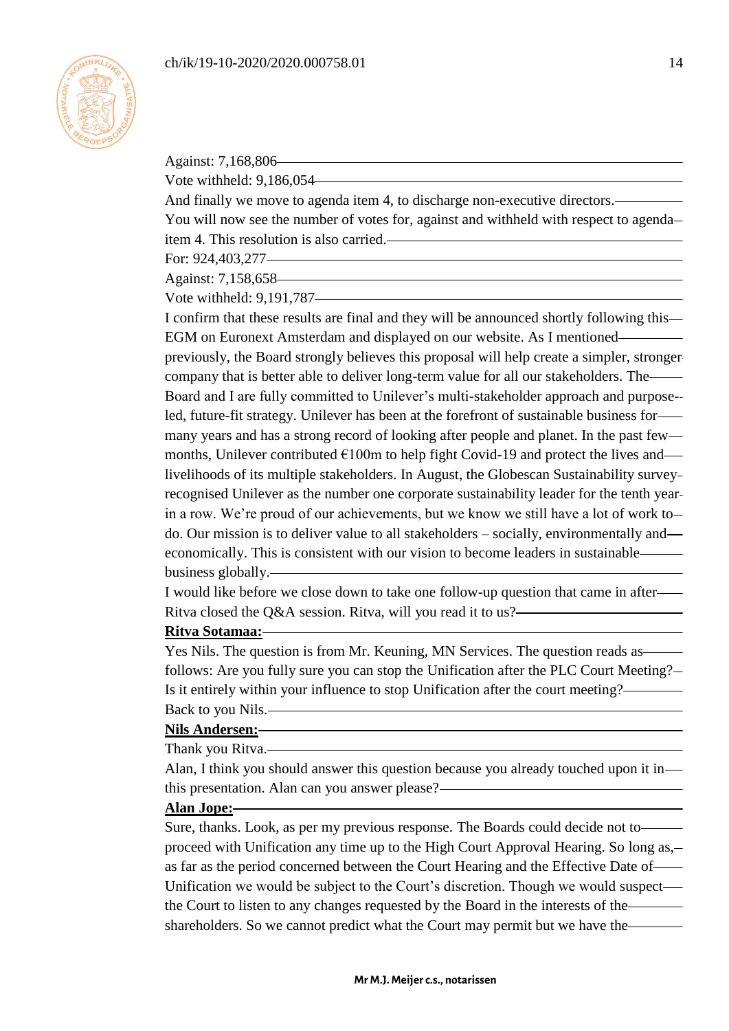

Against: 7,168,806 Vote withheld: 9,186,054 And finally we move to agenda item 4, to discharge non-executive directors. You will now see the number of votes for, against and withheld with respect to agenda item 4. This resolution is also carried. For: 924,403,277 Against: 7,158,658 Vote withheld: 9,191,787 I confirm that these results are final and they will be announced shortly following this EGM on Euronext Amsterdam and displayed on our website. As I mentioned previously, the Board strongly believes this proposal will help create a simpler, stronger company that is better able to deliver long-term value for all our stakeholders. The Board and I are fully committed to Unilever's multi-stakeholder approach and purposeled, future-fit strategy. Unilever has been at the forefront of sustainable business for many years and has a strong record of looking after people and planet. In the past few months, Unilever contributed  $E100m$  to help fight Covid-19 and protect the lives andlivelihoods of its multiple stakeholders. In August, the Globescan Sustainability survey recognised Unilever as the number one corporate sustainability leader for the tenth year in a row. We're proud of our achievements, but we know we still have a lot of work to do. Our mission is to deliver value to all stakeholders – socially, environmentally and economically. This is consistent with our vision to become leaders in sustainable business globally. I would like before we close down to take one follow-up question that came in after Ritva closed the Q&A session. Ritva, will you read it to us?

#### **Ritva Sotamaa:**

Yes Nils. The question is from Mr. Keuning, MN Services. The question reads as follows: Are you fully sure you can stop the Unification after the PLC Court Meeting? Is it entirely within your influence to stop Unification after the court meeting? Back to you Nils.

## **Nils Andersen:**

Thank you Ritva.

Alan, I think you should answer this question because you already touched upon it in this presentation. Alan can you answer please?

#### **Alan Jope:**

Sure, thanks. Look, as per my previous response. The Boards could decide not to proceed with Unification any time up to the High Court Approval Hearing. So long as, as far as the period concerned between the Court Hearing and the Effective Date of Unification we would be subject to the Court's discretion. Though we would suspect the Court to listen to any changes requested by the Board in the interests of the shareholders. So we cannot predict what the Court may permit but we have the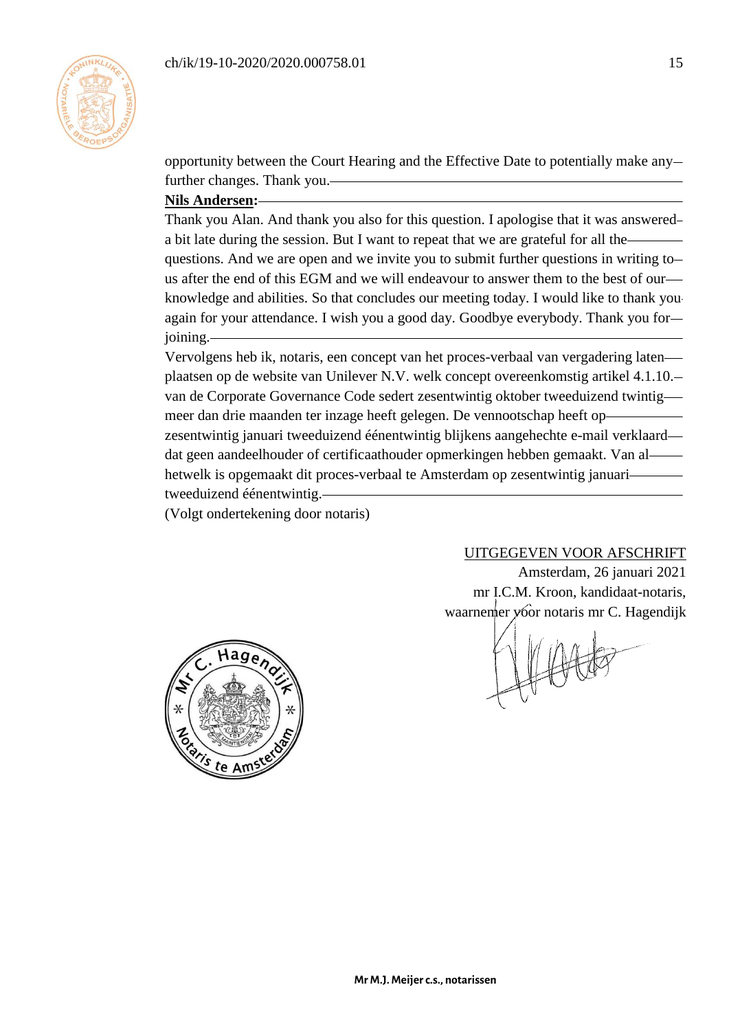

opportunity between the Court Hearing and the Effective Date to potentially make any further changes. Thank you.

# **Nils Andersen:**

Thank you Alan. And thank you also for this question. I apologise that it was answered a bit late during the session. But I want to repeat that we are grateful for all the questions. And we are open and we invite you to submit further questions in writing to us after the end of this EGM and we will endeavour to answer them to the best of our knowledge and abilities. So that concludes our meeting today. I would like to thank you again for your attendance. I wish you a good day. Goodbye everybody. Thank you for joining.

Vervolgens heb ik, notaris, een concept van het proces-verbaal van vergadering laten plaatsen op de website van Unilever N.V. welk concept overeenkomstig artikel 4.1.10. van de Corporate Governance Code sedert zesentwintig oktober tweeduizend twintig meer dan drie maanden ter inzage heeft gelegen. De vennootschap heeft op zesentwintig januari tweeduizend éénentwintig blijkens aangehechte e-mail verklaard dat geen aandeelhouder of certificaathouder opmerkingen hebben gemaakt. Van al hetwelk is opgemaakt dit proces-verbaal te Amsterdam op zesentwintig januari tweeduizend éénentwintig.

(Volgt ondertekening door notaris)

# UITGEGEVEN VOOR AFSCHRIFT

Amsterdam, 26 januari 2021 mr I.C.M. Kroon, kandidaat-notaris, waarnemer voor notaris mr C. Hagendijk